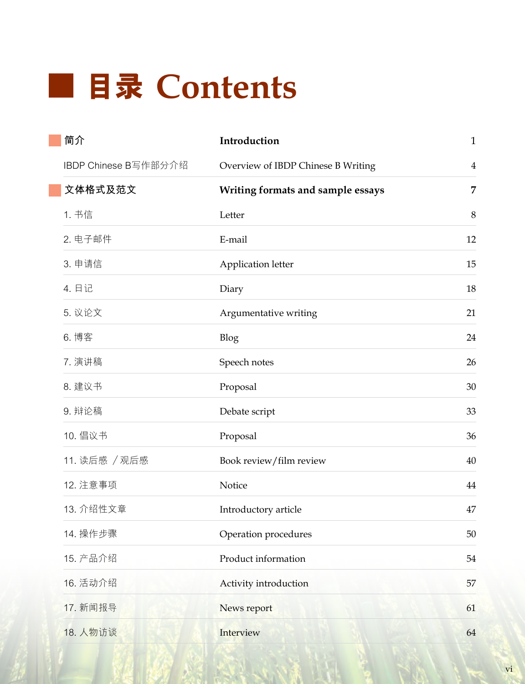## **目錄 Contents**

| 简介                   | Introduction                       | $\mathbf{1}$   |
|----------------------|------------------------------------|----------------|
| IBDP Chinese B写作部分介绍 | Overview of IBDP Chinese B Writing | $\overline{4}$ |
| 文体格式及范文              | Writing formats and sample essays  | 7              |
| 1. 书信                | Letter                             | 8              |
| 2. 电子邮件              | E-mail                             | 12             |
| 3. 申请信               | Application letter                 | 15             |
| 4. 日记                | Diary                              | 18             |
| 5. 议论文               | Argumentative writing              | 21             |
| 6. 博客                | Blog                               | 24             |
| 7. 演讲稿               | Speech notes                       | 26             |
| 8. 建议书               | Proposal                           | 30             |
| 9. 辩论稿               | Debate script                      | 33             |
| 10. 倡议书              | Proposal                           | 36             |
| 11. 读后感 / 观后感        | Book review/film review            | 40             |
| 12. 注意事项             | Notice                             | 44             |
| 13. 介绍性文章            | Introductory article               | 47             |
| 14. 操作步骤             | Operation procedures               | 50             |
| 15. 产品介绍             | Product information                | 54             |
| 16. 活动介绍             | Activity introduction              | 57             |
| 17. 新闻报导             | News report                        | 61             |
| 18. 人物访谈             | Interview                          | 64             |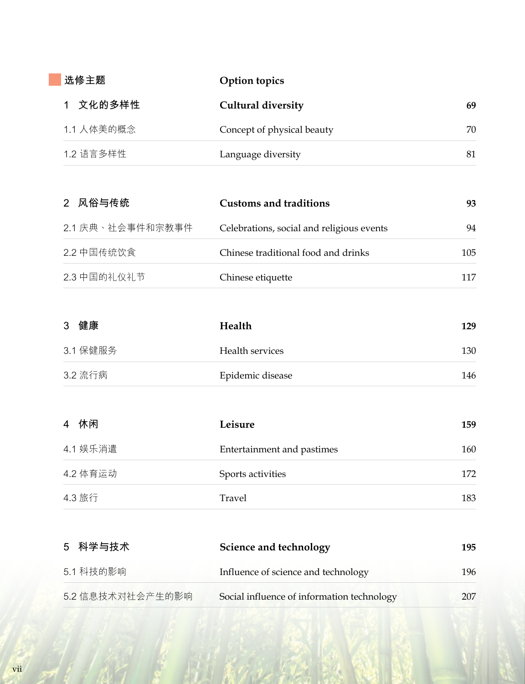| 选修主题       | Option topics              |    |
|------------|----------------------------|----|
| 文化的多样性     | <b>Cultural diversity</b>  | 69 |
| 1.1 人体美的概念 | Concept of physical beauty | 70 |
| 1.2 语言多样性  | Language diversity         | 81 |

| 2 风俗与传统          | <b>Customs and traditions</b>             | 93  |
|------------------|-------------------------------------------|-----|
| 2.1 庆典、社会事件和宗教事件 | Celebrations, social and religious events | 94  |
| 2.2 中国传统饮食       | Chinese traditional food and drinks       | 105 |
| 2.3 中国的礼仪礼节      | Chinese etiquette                         | 117 |

| 3 健康     | Health                     | 129 |
|----------|----------------------------|-----|
| 3.1 保健服务 | Health services            | 130 |
| 3.2 流行病  | Epidemic disease           | 146 |
| 4 休闲     | Leisure                    | 159 |
| 4.1 娱乐消遣 | Entertainment and pastimes | 160 |

| 4.2 体育运动 | Sports activities | 170 |
|----------|-------------------|-----|
| 4.3 旅行   | Travel            | 183 |

| 5 科学与技术          | Science and technology                     | 195  |
|------------------|--------------------------------------------|------|
| 5.1 科技的影响        | Influence of science and technology        | 196. |
| 5.2 信息技术对社会产生的影响 | Social influence of information technology | 207. |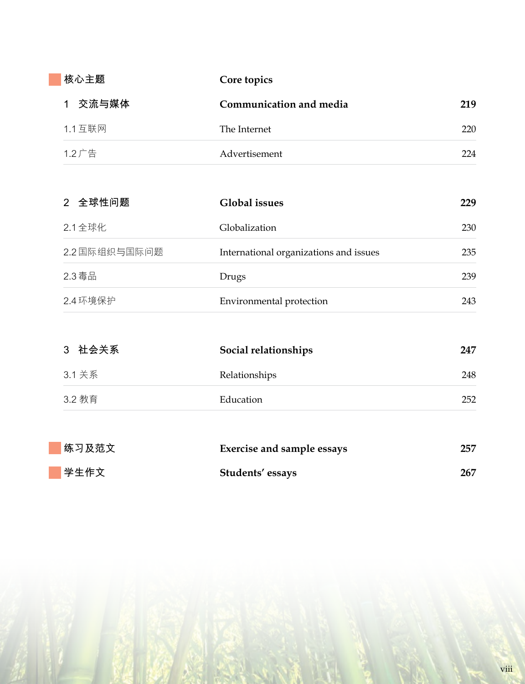| 核心主题     | Core topics             |     |
|----------|-------------------------|-----|
| 交流与媒体    | Communication and media | 219 |
| 1.1 互联网  | The Internet            | 220 |
| $1.2$ 广告 | Advertisement           | 224 |

| 2 全球性问题       | <b>Global</b> issues                   | 229 |
|---------------|----------------------------------------|-----|
| 2.1 全球化       | Globalization                          | 230 |
| 2.2 国际组织与国际问题 | International organizations and issues | 235 |
| 2.3 毒品        | Drugs                                  | 239 |
| 2.4 环境保护      | Environmental protection               | 243 |

| 3 社会关系 | Social relationships              | 247 |
|--------|-----------------------------------|-----|
| 3.1 关系 | Relationships                     | 248 |
| 3.2 教育 | Education                         | 252 |
| 练习及范文  | <b>Exercise and sample essays</b> | 257 |
| 学生作文   | Students' essays                  | 267 |

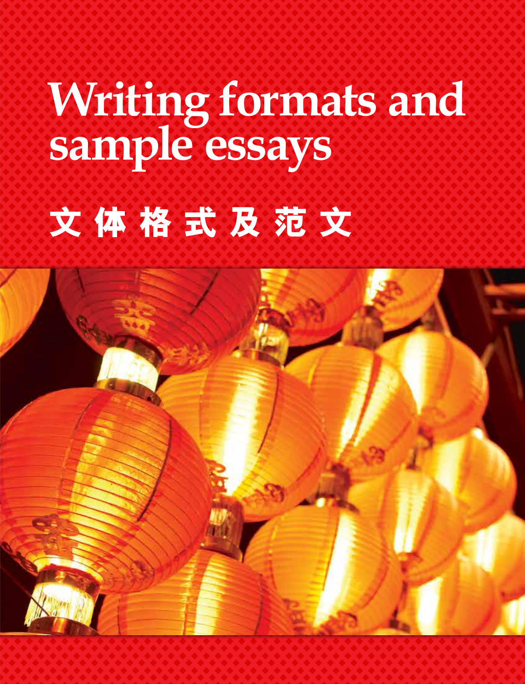# **Writing formats and sample essays**

# **文 體 格 式 及 範 文**

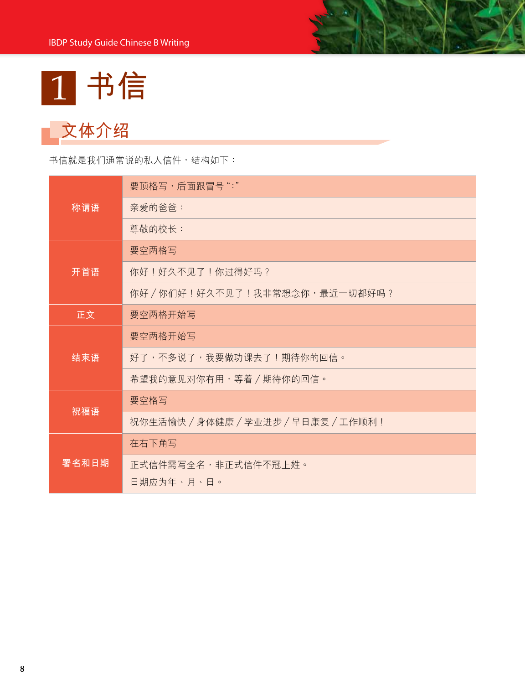

### **文體介紹**

书信就是我们通常说的私人信件,结构如下:

|       | 要顶格写,后面跟冒号":"                        |
|-------|--------------------------------------|
| 称谓语   | 亲爱的爸爸:                               |
|       | 尊敬的校长:                               |
|       | 要空两格写                                |
| 开首语   | 你好!好久不见了!你过得好吗?                      |
|       | 你好/你们好!好久不见了!我非常想念你,最近一切都好吗?         |
| 正文    | 要空两格开始写                              |
|       | 要空两格开始写                              |
| 结束语   | 好了,不多说了,我要做功课去了!期待你的回信。              |
|       | 希望我的意见对你有用,等着/期待你的回信。                |
|       | 要空格写                                 |
| 祝福语   | 祝你生活愉快 / 身体健康 / 学业进步 / 早日康复 / 工作顺利 ! |
|       | 在右下角写                                |
| 署名和日期 | 正式信件需写全名,非正式信件不冠上姓。<br>日期应为年、月、日。    |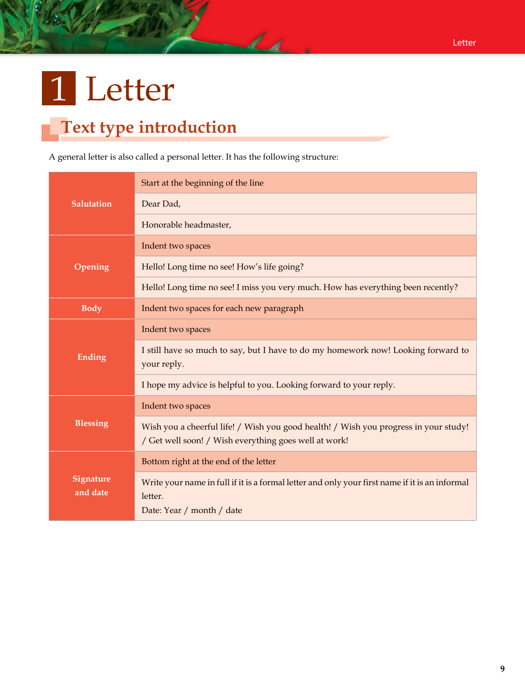## 1 Letter

#### **Text type introduction**

A general letter is also called a personal letter. It has the following structure:

|                              | Start at the beginning of the line                                                                                                            |
|------------------------------|-----------------------------------------------------------------------------------------------------------------------------------------------|
| <b>Salutation</b>            | Dear Dad,                                                                                                                                     |
|                              | Honorable headmaster,                                                                                                                         |
|                              | Indent two spaces                                                                                                                             |
| Opening                      | Hello! Long time no see! How's life going?                                                                                                    |
|                              | Hello! Long time no see! I miss you very much. How has everything been recently?                                                              |
| <b>Body</b>                  | Indent two spaces for each new paragraph                                                                                                      |
|                              | Indent two spaces                                                                                                                             |
| <b>Ending</b>                | I still have so much to say, but I have to do my homework now! Looking forward to<br>your reply.                                              |
|                              | I hope my advice is helpful to you. Looking forward to your reply.                                                                            |
|                              | Indent two spaces                                                                                                                             |
| <b>Blessing</b>              | Wish you a cheerful life! / Wish you good health! / Wish you progress in your study!<br>/ Get well soon! / Wish everything goes well at work! |
|                              | Bottom right at the end of the letter                                                                                                         |
| <b>Signature</b><br>and date | Write your name in full if it is a formal letter and only your first name if it is an informal<br>letter.<br>Date: Year / month / date        |

 $\overline{\mathcal{L}}$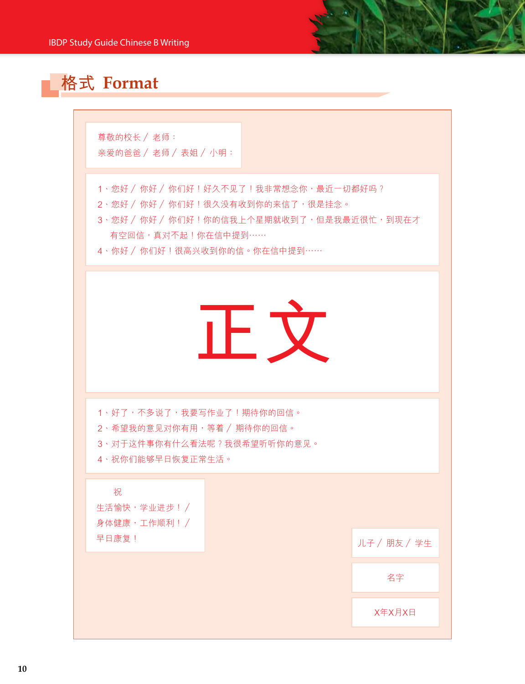

尊敬的校长 / 老师: 亲爱的爸爸 / 老师 / 表姐 / 小明:

- 1、您好 / 你好 / 你们好 ! 好久不见了 ! 我非常想念你,最近一切都好吗 ?
- 2、您好 / 你好 / 你们好 ! 很久没有收到你的来信了,很是挂念。
- 3、您好 / 你好 / 你们好 ! 你的信我上个星期就收到了, 但是我最近很忙, 到现在才 有空回信,真对不起!你在信中提到……
- 4、你好 / 你们好 ! 很高兴收到你的信。你在信中提到……



1、好了,不多说了,我要写作业了!期待你的回信。 2、希望我的意见对你有用,等着 / 期待你的回信。

3、对于这件事你有什么看法呢?我很希望听听你的意见。

4、祝你們能夠早日恢復正常生活。

 祝 生活愉快, 学业进步!/ 身體健康,工作順利! / 早日康復!

儿子 / 朋友 / 学生

名字

X年X月X日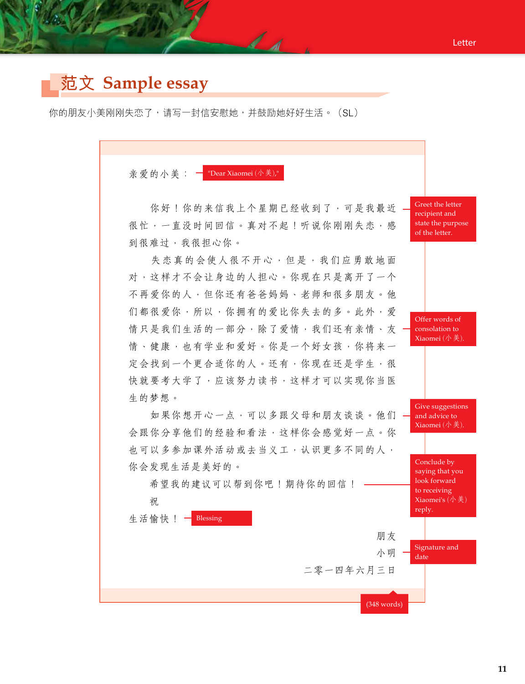#### **範文 Sample essay**

你的朋友小美刚刚失恋了,请写一封信安慰她,并鼓励她好好生活。(SL)

 $d - d$ 

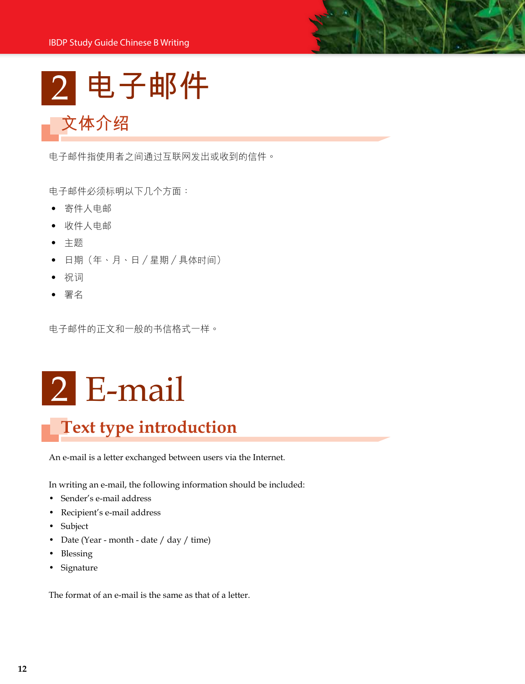2 **電子郵件**

電子郵件指使用者之間通過互聯網發出或收到的信件。

电子邮件必须标明以下几个方面:

• 寄件人電郵

**文體介紹**

- 收件人電郵
- 主題
- 日期(年、月、日/星期/具体时间)
- 祝詞
- 署名

電子郵件的正文和一般的書信格式一樣。

## 2 E-mail

#### **Text type introduction**

An e-mail is a letter exchanged between users via the Internet.

In writing an e-mail, the following information should be included:

- Sender's e-mail address
- Recipient's e-mail address
- Subject
- Date (Year month date / day / time)
- Blessing
- Signature

The format of an e-mail is the same as that of a letter.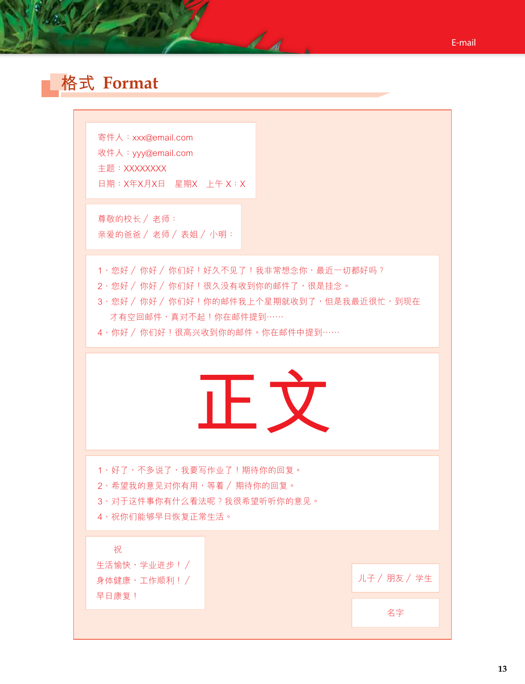#### **格式 Format**

寄件人:xxx@email.com 收件人:yyy@email.com 主題:XXXXXXXX 日期:X年X月X日 星期X 上午 X:X

尊敬的校长 / 老师: 亲爱的爸爸 / 老师 / 表姐 / 小明:

1、您好 / 你好 / 你们好 ! 好久不见了 ! 我非常想念你,最近一切都好吗 ?

- 2、您好 / 你好 / 你们好 ! 很久没有收到你的邮件了, 很是挂念。
- 3、您好 / 你好 / 你们好 ! 你的邮件我上个星期就收到了, 但是我最近很忙, 到现在 才有空回邮件,真对不起!你在邮件提到……

A - A

4、你好 / 你们好 ! 很高兴收到你的邮件。你在邮件中提到……



1、好了,不多说了,我要写作业了!期待你的回复。

2、希望我的意见对你有用,等着 / 期待你的回复。

- 3、对干这件事你有什么看法呢?我很希望听听你的意见。
- 4、祝你們能夠早日恢復正常生活。

祝

生活愉快, 学业进步!/ 身體健康,工作順利! / 早日康復!

儿子 / 朋友 / 学生

名字